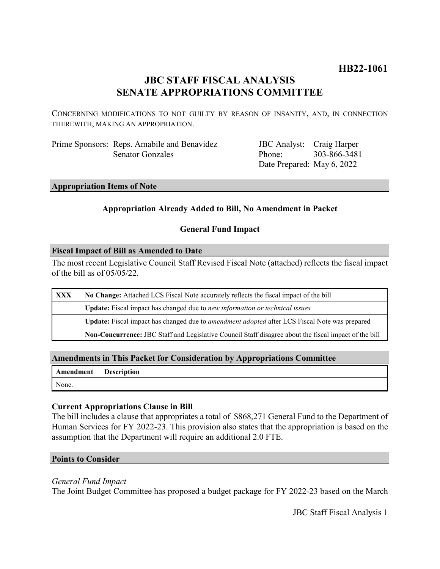# **HB22-1061**

# **JBC STAFF FISCAL ANALYSIS SENATE APPROPRIATIONS COMMITTEE**

CONCERNING MODIFICATIONS TO NOT GUILTY BY REASON OF INSANITY, AND, IN CONNECTION THEREWITH, MAKING AN APPROPRIATION.

Prime Sponsors: Reps. Amabile and Benavidez Senator Gonzales

JBC Analyst: Craig Harper Phone: Date Prepared: May 6, 2022 303-866-3481

#### **Appropriation Items of Note**

# **Appropriation Already Added to Bill, No Amendment in Packet**

# **General Fund Impact**

#### **Fiscal Impact of Bill as Amended to Date**

The most recent Legislative Council Staff Revised Fiscal Note (attached) reflects the fiscal impact of the bill as of 05/05/22.

| XXX | No Change: Attached LCS Fiscal Note accurately reflects the fiscal impact of the bill                       |
|-----|-------------------------------------------------------------------------------------------------------------|
|     | Update: Fiscal impact has changed due to new information or technical issues                                |
|     | <b>Update:</b> Fiscal impact has changed due to <i>amendment adopted</i> after LCS Fiscal Note was prepared |
|     | Non-Concurrence: JBC Staff and Legislative Council Staff disagree about the fiscal impact of the bill       |

# **Amendments in This Packet for Consideration by Appropriations Committee**

| Amendment | <b>Description</b> |
|-----------|--------------------|
| None.     |                    |

# **Current Appropriations Clause in Bill**

The bill includes a clause that appropriates a total of \$868,271 General Fund to the Department of Human Services for FY 2022-23. This provision also states that the appropriation is based on the assumption that the Department will require an additional 2.0 FTE.

#### **Points to Consider**

#### *General Fund Impact*

The Joint Budget Committee has proposed a budget package for FY 2022-23 based on the March

JBC Staff Fiscal Analysis 1